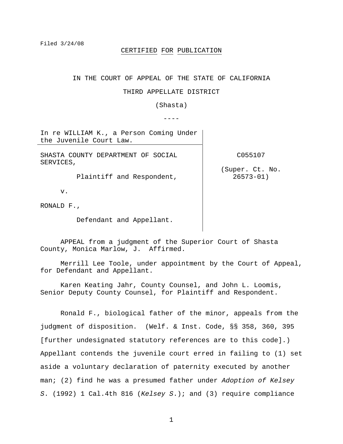# CERTIFIED FOR PUBLICATION

IN THE COURT OF APPEAL OF THE STATE OF CALIFORNIA

### THIRD APPELLATE DISTRICT

(Shasta)

----

In re WILLIAM K., a Person Coming Under the Juvenile Court Law.

SHASTA COUNTY DEPARTMENT OF SOCIAL SERVICES,

C055107

(Super. Ct. No. 26573-01)

RONALD F.,

v.

Defendant and Appellant.

Plaintiff and Respondent,

 APPEAL from a judgment of the Superior Court of Shasta County, Monica Marlow, J. Affirmed.

 Merrill Lee Toole, under appointment by the Court of Appeal, for Defendant and Appellant.

 Karen Keating Jahr, County Counsel, and John L. Loomis, Senior Deputy County Counsel, for Plaintiff and Respondent.

 Ronald F., biological father of the minor, appeals from the judgment of disposition. (Welf. & Inst. Code, §§ 358, 360, 395 [further undesignated statutory references are to this code].) Appellant contends the juvenile court erred in failing to (1) set aside a voluntary declaration of paternity executed by another man; (2) find he was a presumed father under *Adoption of Kelsey S*. (1992) 1 Cal.4th 816 (*Kelsey S*.); and (3) require compliance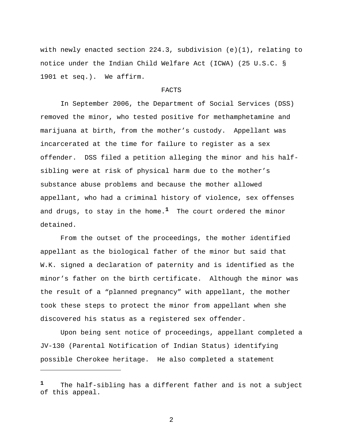with newly enacted section 224.3, subdivision  $(e)(1)$ , relating to notice under the Indian Child Welfare Act (ICWA) (25 U.S.C. § 1901 et seq.). We affirm.

## FACTS

 In September 2006, the Department of Social Services (DSS) removed the minor, who tested positive for methamphetamine and marijuana at birth, from the mother's custody. Appellant was incarcerated at the time for failure to register as a sex offender. DSS filed a petition alleging the minor and his halfsibling were at risk of physical harm due to the mother's substance abuse problems and because the mother allowed appellant, who had a criminal history of violence, sex offenses and drugs, to stay in the home.**1** The court ordered the minor detained.

 From the outset of the proceedings, the mother identified appellant as the biological father of the minor but said that W.K. signed a declaration of paternity and is identified as the minor's father on the birth certificate. Although the minor was the result of a "planned pregnancy" with appellant, the mother took these steps to protect the minor from appellant when she discovered his status as a registered sex offender.

 Upon being sent notice of proceedings, appellant completed a JV-130 (Parental Notification of Indian Status) identifying possible Cherokee heritage. He also completed a statement

i<br>Li

**<sup>1</sup>** The half-sibling has a different father and is not a subject of this appeal.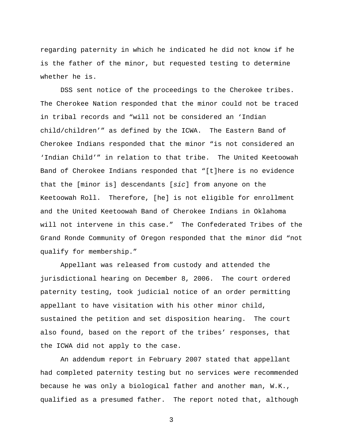regarding paternity in which he indicated he did not know if he is the father of the minor, but requested testing to determine whether he is.

 DSS sent notice of the proceedings to the Cherokee tribes. The Cherokee Nation responded that the minor could not be traced in tribal records and "will not be considered an 'Indian child/children'" as defined by the ICWA. The Eastern Band of Cherokee Indians responded that the minor "is not considered an 'Indian Child'" in relation to that tribe. The United Keetoowah Band of Cherokee Indians responded that "[t]here is no evidence that the [minor is] descendants [*sic*] from anyone on the Keetoowah Roll. Therefore, [he] is not eligible for enrollment and the United Keetoowah Band of Cherokee Indians in Oklahoma will not intervene in this case." The Confederated Tribes of the Grand Ronde Community of Oregon responded that the minor did "not qualify for membership."

 Appellant was released from custody and attended the jurisdictional hearing on December 8, 2006. The court ordered paternity testing, took judicial notice of an order permitting appellant to have visitation with his other minor child, sustained the petition and set disposition hearing. The court also found, based on the report of the tribes' responses, that the ICWA did not apply to the case.

 An addendum report in February 2007 stated that appellant had completed paternity testing but no services were recommended because he was only a biological father and another man, W.K., qualified as a presumed father. The report noted that, although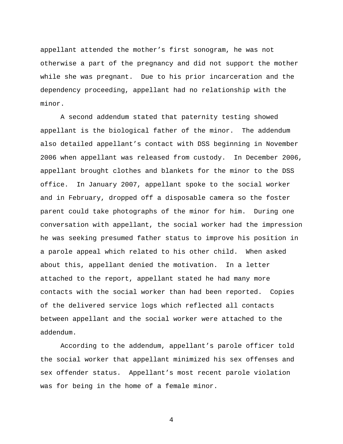appellant attended the mother's first sonogram, he was not otherwise a part of the pregnancy and did not support the mother while she was pregnant. Due to his prior incarceration and the dependency proceeding, appellant had no relationship with the minor.

 A second addendum stated that paternity testing showed appellant is the biological father of the minor. The addendum also detailed appellant's contact with DSS beginning in November 2006 when appellant was released from custody. In December 2006, appellant brought clothes and blankets for the minor to the DSS office. In January 2007, appellant spoke to the social worker and in February, dropped off a disposable camera so the foster parent could take photographs of the minor for him. During one conversation with appellant, the social worker had the impression he was seeking presumed father status to improve his position in a parole appeal which related to his other child. When asked about this, appellant denied the motivation. In a letter attached to the report, appellant stated he had many more contacts with the social worker than had been reported. Copies of the delivered service logs which reflected all contacts between appellant and the social worker were attached to the addendum.

 According to the addendum, appellant's parole officer told the social worker that appellant minimized his sex offenses and sex offender status. Appellant's most recent parole violation was for being in the home of a female minor.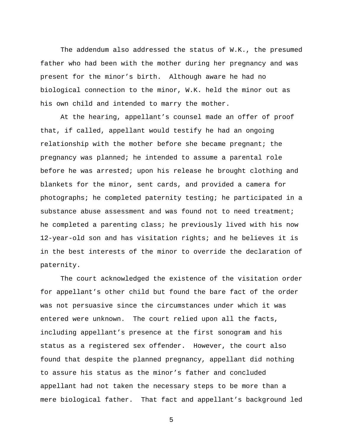The addendum also addressed the status of W.K., the presumed father who had been with the mother during her pregnancy and was present for the minor's birth. Although aware he had no biological connection to the minor, W.K. held the minor out as his own child and intended to marry the mother.

 At the hearing, appellant's counsel made an offer of proof that, if called, appellant would testify he had an ongoing relationship with the mother before she became pregnant; the pregnancy was planned; he intended to assume a parental role before he was arrested; upon his release he brought clothing and blankets for the minor, sent cards, and provided a camera for photographs; he completed paternity testing; he participated in a substance abuse assessment and was found not to need treatment; he completed a parenting class; he previously lived with his now 12-year-old son and has visitation rights; and he believes it is in the best interests of the minor to override the declaration of paternity.

 The court acknowledged the existence of the visitation order for appellant's other child but found the bare fact of the order was not persuasive since the circumstances under which it was entered were unknown. The court relied upon all the facts, including appellant's presence at the first sonogram and his status as a registered sex offender. However, the court also found that despite the planned pregnancy, appellant did nothing to assure his status as the minor's father and concluded appellant had not taken the necessary steps to be more than a mere biological father. That fact and appellant's background led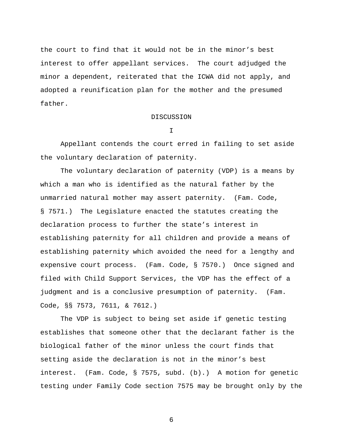the court to find that it would not be in the minor's best interest to offer appellant services. The court adjudged the minor a dependent, reiterated that the ICWA did not apply, and adopted a reunification plan for the mother and the presumed father.

# DISCUSSION

I

 Appellant contends the court erred in failing to set aside the voluntary declaration of paternity.

 The voluntary declaration of paternity (VDP) is a means by which a man who is identified as the natural father by the unmarried natural mother may assert paternity. (Fam. Code, § 7571.) The Legislature enacted the statutes creating the declaration process to further the state's interest in establishing paternity for all children and provide a means of establishing paternity which avoided the need for a lengthy and expensive court process. (Fam. Code, § 7570.) Once signed and filed with Child Support Services, the VDP has the effect of a judgment and is a conclusive presumption of paternity. (Fam. Code, §§ 7573, 7611, & 7612.)

 The VDP is subject to being set aside if genetic testing establishes that someone other that the declarant father is the biological father of the minor unless the court finds that setting aside the declaration is not in the minor's best interest. (Fam. Code, § 7575, subd. (b).) A motion for genetic testing under Family Code section 7575 may be brought only by the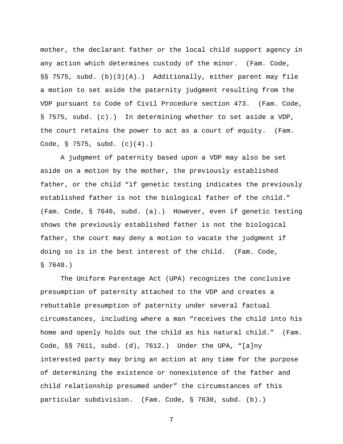mother, the declarant father or the local child support agency in any action which determines custody of the minor. (Fam. Code, §§ 7575, subd. (b)(3)(A).) Additionally, either parent may file a motion to set aside the paternity judgment resulting from the VDP pursuant to Code of Civil Procedure section 473. (Fam. Code, § 7575, subd. (c).) In determining whether to set aside a VDP, the court retains the power to act as a court of equity. (Fam. Code, § 7575, subd. (c)(4).)

 A judgment of paternity based upon a VDP may also be set aside on a motion by the mother, the previously established father, or the child "if genetic testing indicates the previously established father is not the biological father of the child." (Fam. Code, § 7646, subd. (a).) However, even if genetic testing shows the previously established father is not the biological father, the court may deny a motion to vacate the judgment if doing so is in the best interest of the child. (Fam. Code, § 7648.)

 The Uniform Parentage Act (UPA) recognizes the conclusive presumption of paternity attached to the VDP and creates a rebuttable presumption of paternity under several factual circumstances, including where a man "receives the child into his home and openly holds out the child as his natural child." (Fam. Code, §§ 7611, subd. (d), 7612.) Under the UPA, "[a]ny interested party may bring an action at any time for the purpose of determining the existence or nonexistence of the father and child relationship presumed under" the circumstances of this particular subdivision. (Fam. Code, § 7630, subd. (b).)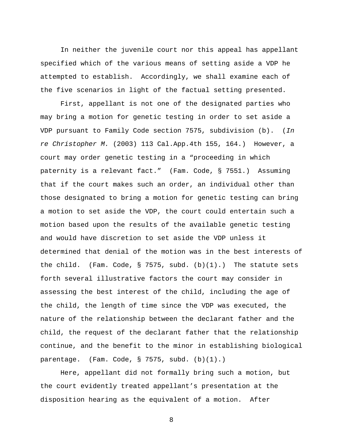In neither the juvenile court nor this appeal has appellant specified which of the various means of setting aside a VDP he attempted to establish. Accordingly, we shall examine each of the five scenarios in light of the factual setting presented.

 First, appellant is not one of the designated parties who may bring a motion for genetic testing in order to set aside a VDP pursuant to Family Code section 7575, subdivision (b). (*In re Christopher M.* (2003) 113 Cal.App.4th 155, 164.) However, a court may order genetic testing in a "proceeding in which paternity is a relevant fact." (Fam. Code, § 7551.) Assuming that if the court makes such an order, an individual other than those designated to bring a motion for genetic testing can bring a motion to set aside the VDP, the court could entertain such a motion based upon the results of the available genetic testing and would have discretion to set aside the VDP unless it determined that denial of the motion was in the best interests of the child. (Fam. Code,  $\S$  7575, subd. (b)(1).) The statute sets forth several illustrative factors the court may consider in assessing the best interest of the child, including the age of the child, the length of time since the VDP was executed, the nature of the relationship between the declarant father and the child, the request of the declarant father that the relationship continue, and the benefit to the minor in establishing biological parentage. (Fam. Code, § 7575, subd. (b)(1).)

 Here, appellant did not formally bring such a motion, but the court evidently treated appellant's presentation at the disposition hearing as the equivalent of a motion. After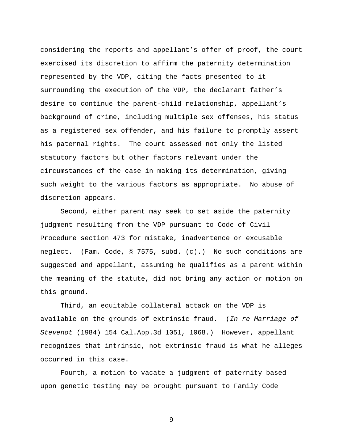considering the reports and appellant's offer of proof, the court exercised its discretion to affirm the paternity determination represented by the VDP, citing the facts presented to it surrounding the execution of the VDP, the declarant father's desire to continue the parent-child relationship, appellant's background of crime, including multiple sex offenses, his status as a registered sex offender, and his failure to promptly assert his paternal rights. The court assessed not only the listed statutory factors but other factors relevant under the circumstances of the case in making its determination, giving such weight to the various factors as appropriate. No abuse of discretion appears.

 Second, either parent may seek to set aside the paternity judgment resulting from the VDP pursuant to Code of Civil Procedure section 473 for mistake, inadvertence or excusable neglect. (Fam. Code, § 7575, subd. (c).) No such conditions are suggested and appellant, assuming he qualifies as a parent within the meaning of the statute, did not bring any action or motion on this ground.

 Third, an equitable collateral attack on the VDP is available on the grounds of extrinsic fraud. (*In re Marriage of Stevenot* (1984) 154 Cal.App.3d 1051, 1068.) However, appellant recognizes that intrinsic, not extrinsic fraud is what he alleges occurred in this case.

 Fourth, a motion to vacate a judgment of paternity based upon genetic testing may be brought pursuant to Family Code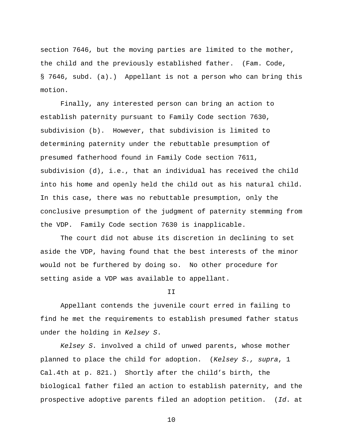section 7646, but the moving parties are limited to the mother, the child and the previously established father. (Fam. Code, § 7646, subd. (a).) Appellant is not a person who can bring this motion.

 Finally, any interested person can bring an action to establish paternity pursuant to Family Code section 7630, subdivision (b). However, that subdivision is limited to determining paternity under the rebuttable presumption of presumed fatherhood found in Family Code section 7611, subdivision (d), i.e., that an individual has received the child into his home and openly held the child out as his natural child. In this case, there was no rebuttable presumption, only the conclusive presumption of the judgment of paternity stemming from the VDP. Family Code section 7630 is inapplicable.

 The court did not abuse its discretion in declining to set aside the VDP, having found that the best interests of the minor would not be furthered by doing so. No other procedure for setting aside a VDP was available to appellant.

#### II

 Appellant contends the juvenile court erred in failing to find he met the requirements to establish presumed father status under the holding in *Kelsey S*.

*Kelsey S.* involved a child of unwed parents, whose mother planned to place the child for adoption. (*Kelsey S., supra*, 1 Cal.4th at p. 821.) Shortly after the child's birth, the biological father filed an action to establish paternity, and the prospective adoptive parents filed an adoption petition. (*Id*. at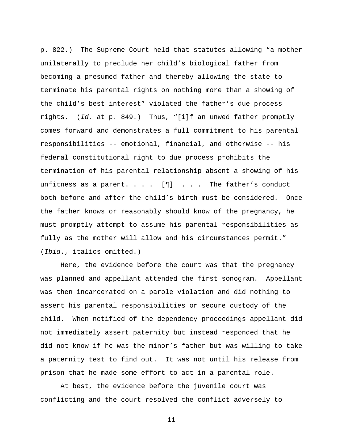p. 822.) The Supreme Court held that statutes allowing "a mother unilaterally to preclude her child's biological father from becoming a presumed father and thereby allowing the state to terminate his parental rights on nothing more than a showing of the child's best interest" violated the father's due process rights. (*Id*. at p. 849.) Thus, "[i]f an unwed father promptly comes forward and demonstrates a full commitment to his parental responsibilities -- emotional, financial, and otherwise -- his federal constitutional right to due process prohibits the termination of his parental relationship absent a showing of his unfitness as a parent.  $\ldots$  . [ $\P$ ] . . . The father's conduct both before and after the child's birth must be considered. Once the father knows or reasonably should know of the pregnancy, he must promptly attempt to assume his parental responsibilities as fully as the mother will allow and his circumstances permit." (*Ibid*., italics omitted.)

 Here, the evidence before the court was that the pregnancy was planned and appellant attended the first sonogram. Appellant was then incarcerated on a parole violation and did nothing to assert his parental responsibilities or secure custody of the child. When notified of the dependency proceedings appellant did not immediately assert paternity but instead responded that he did not know if he was the minor's father but was willing to take a paternity test to find out. It was not until his release from prison that he made some effort to act in a parental role.

 At best, the evidence before the juvenile court was conflicting and the court resolved the conflict adversely to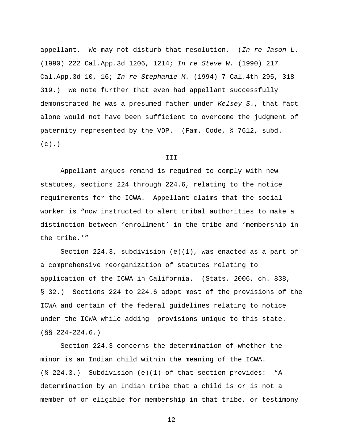appellant. We may not disturb that resolution. (*In re Jason L*. (1990) 222 Cal.App.3d 1206, 1214; *In re Steve W.* (1990) 217 Cal.App.3d 10, 16; *In re Stephanie M.* (1994) 7 Cal.4th 295, 318- 319.) We note further that even had appellant successfully demonstrated he was a presumed father under *Kelsey S*., that fact alone would not have been sufficient to overcome the judgment of paternity represented by the VDP. (Fam. Code, § 7612, subd.  $(c)$ .)

### III

 Appellant argues remand is required to comply with new statutes, sections 224 through 224.6, relating to the notice requirements for the ICWA. Appellant claims that the social worker is "now instructed to alert tribal authorities to make a distinction between 'enrollment' in the tribe and 'membership in the tribe.'"

Section 224.3, subdivision  $(e)(1)$ , was enacted as a part of a comprehensive reorganization of statutes relating to application of the ICWA in California. (Stats. 2006, ch. 838, § 32.) Sections 224 to 224.6 adopt most of the provisions of the ICWA and certain of the federal guidelines relating to notice under the ICWA while adding provisions unique to this state. (§§ 224-224.6.)

 Section 224.3 concerns the determination of whether the minor is an Indian child within the meaning of the ICWA. (§ 224.3.) Subdivision (e)(1) of that section provides: "A determination by an Indian tribe that a child is or is not a member of or eligible for membership in that tribe, or testimony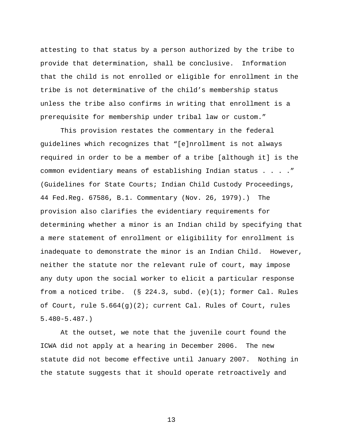attesting to that status by a person authorized by the tribe to provide that determination, shall be conclusive. Information that the child is not enrolled or eligible for enrollment in the tribe is not determinative of the child's membership status unless the tribe also confirms in writing that enrollment is a prerequisite for membership under tribal law or custom."

 This provision restates the commentary in the federal guidelines which recognizes that "[e]nrollment is not always required in order to be a member of a tribe [although it] is the common evidentiary means of establishing Indian status . . . ." (Guidelines for State Courts; Indian Child Custody Proceedings, 44 Fed.Reg. 67586, B.1. Commentary (Nov. 26, 1979).) The provision also clarifies the evidentiary requirements for determining whether a minor is an Indian child by specifying that a mere statement of enrollment or eligibility for enrollment is inadequate to demonstrate the minor is an Indian Child. However, neither the statute nor the relevant rule of court, may impose any duty upon the social worker to elicit a particular response from a noticed tribe.  $(S_224.3, subd. (e)(1); former Cal. Rules$ of Court, rule  $5.664(g)(2)$ ; current Cal. Rules of Court, rules 5.480-5.487.)

 At the outset, we note that the juvenile court found the ICWA did not apply at a hearing in December 2006. The new statute did not become effective until January 2007. Nothing in the statute suggests that it should operate retroactively and